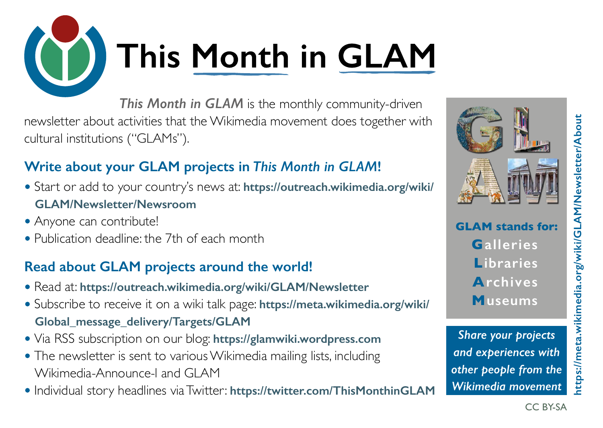# This Month in GLAM

*This Month in GLAM* is the monthly community-driven newsletter about activities that the Wikimedia movement does together with cultural institutions ("GLAMs").

### **Write about your GLAM projects in** *This Month in GLAM***!**

- Start or add to your country's news at: **[https://outreach.wikimedia.org/wiki/](https://outreach.wikimedia.org/wiki/GLAM/Newsletter/Newsroom) [GLAM/Newsletter/Newsroom](https://outreach.wikimedia.org/wiki/GLAM/Newsletter/Newsroom)**
- Anyone can contribute!
- Publication deadline: the 7th of each month

### **Read about GLAM projects around the world!**

- Read at: **<https://outreach.wikimedia.org/wiki/GLAM/Newsletter>**
- Subscribe to receive it on a wiki talk page: **[https://meta.wikimedia.org/wiki/](https://meta.wikimedia.org/wiki/Global_message_delivery/Targets/GLAM) [Global\\_message\\_delivery/Targets/GLAM](https://meta.wikimedia.org/wiki/Global_message_delivery/Targets/GLAM)**
- Via RSS subscription on our blog: **<https://glamwiki.wordpress.com>**
- The newsletter is sent to various Wikimedia mailing lists, including Wikimedia-Announce-l and GLAM
- Individual story headlines via Twitter: **<https://twitter.com/ThisMonthinGLAM>**



*Share your projects and experiences with other people from the Wikimedia movement*